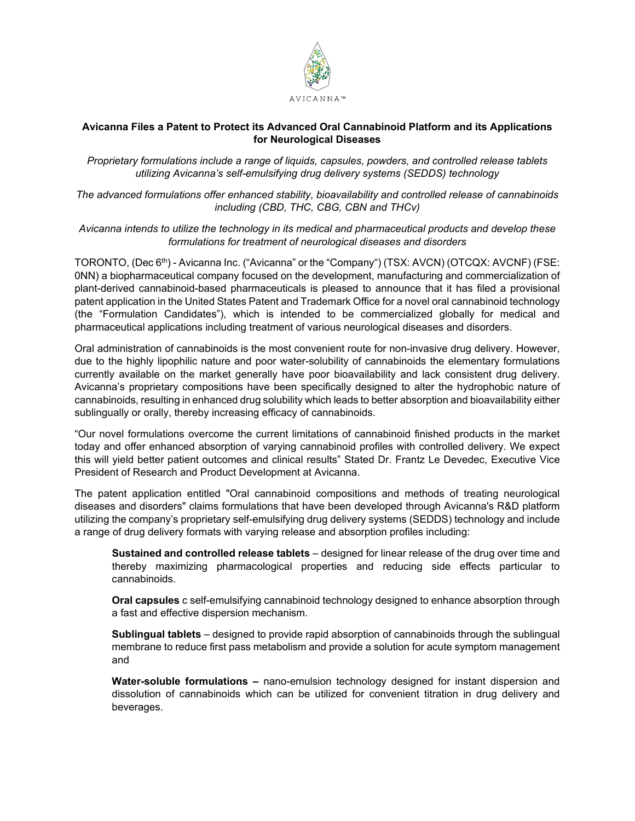

# **Avicanna Files a Patent to Protect its Advanced Oral Cannabinoid Platform and its Applications for Neurological Diseases**

*Proprietary formulations include a range of liquids, capsules, powders, and controlled release tablets utilizing Avicanna's self-emulsifying drug delivery systems (SEDDS) technology*

# *The advanced formulations offer enhanced stability, bioavailability and controlled release of cannabinoids including (CBD, THC, CBG, CBN and THCv)*

*Avicanna intends to utilize the technology in its medical and pharmaceutical products and develop these formulations for treatment of neurological diseases and disorders*

TORONTO, (Dec 6<sup>th</sup>) - Avicanna Inc. ("Avicanna" or the "Company") (TSX: AVCN) (OTCQX: AVCNF) (FSE: 0NN) a biopharmaceutical company focused on the development, manufacturing and commercialization of plant-derived cannabinoid-based pharmaceuticals is pleased to announce that it has filed a provisional patent application in the United States Patent and Trademark Office for a novel oral cannabinoid technology (the "Formulation Candidates"), which is intended to be commercialized globally for medical and pharmaceutical applications including treatment of various neurological diseases and disorders.

Oral administration of cannabinoids is the most convenient route for non-invasive drug delivery. However, due to the highly lipophilic nature and poor water-solubility of cannabinoids the elementary formulations currently available on the market generally have poor bioavailability and lack consistent drug delivery. Avicanna's proprietary compositions have been specifically designed to alter the hydrophobic nature of cannabinoids, resulting in enhanced drug solubility which leads to better absorption and bioavailability either sublingually or orally, thereby increasing efficacy of cannabinoids.

"Our novel formulations overcome the current limitations of cannabinoid finished products in the market today and offer enhanced absorption of varying cannabinoid profiles with controlled delivery. We expect this will yield better patient outcomes and clinical results" Stated Dr. Frantz Le Devedec, Executive Vice President of Research and Product Development at Avicanna.

The patent application entitled "Oral cannabinoid compositions and methods of treating neurological diseases and disorders" claims formulations that have been developed through Avicanna's R&D platform utilizing the company's proprietary self-emulsifying drug delivery systems (SEDDS) technology and include a range of drug delivery formats with varying release and absorption profiles including:

**Sustained and controlled release tablets** – designed for linear release of the drug over time and thereby maximizing pharmacological properties and reducing side effects particular to cannabinoids.

**Oral capsules** c self-emulsifying cannabinoid technology designed to enhance absorption through a fast and effective dispersion mechanism.

**Sublingual tablets** – designed to provide rapid absorption of cannabinoids through the sublingual membrane to reduce first pass metabolism and provide a solution for acute symptom management and

**Water-soluble formulations –** nano-emulsion technology designed for instant dispersion and dissolution of cannabinoids which can be utilized for convenient titration in drug delivery and beverages.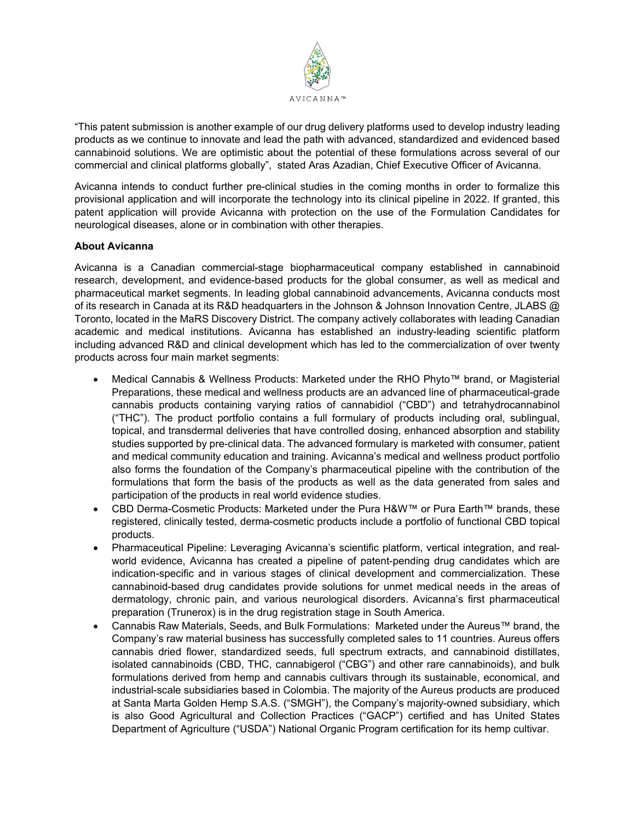

"This patent submission is another example of our drug delivery platforms used to develop industry leading products as we continue to innovate and lead the path with advanced, standardized and evidenced based cannabinoid solutions. We are optimistic about the potential of these formulations across several of our commercial and clinical platforms globally", stated Aras Azadian, Chief Executive Officer of Avicanna.

Avicanna intends to conduct further pre-clinical studies in the coming months in order to formalize this provisional application and will incorporate the technology into its clinical pipeline in 2022. If granted, this patent application will provide Avicanna with protection on the use of the Formulation Candidates for neurological diseases, alone or in combination with other therapies.

# **About Avicanna**

Avicanna is a Canadian commercial-stage biopharmaceutical company established in cannabinoid research, development, and evidence-based products for the global consumer, as well as medical and pharmaceutical market segments. In leading global cannabinoid advancements, Avicanna conducts most of its research in Canada at its R&D headquarters in the Johnson & Johnson Innovation Centre, JLABS @ Toronto, located in the MaRS Discovery District. The company actively collaborates with leading Canadian academic and medical institutions. Avicanna has established an industry-leading scientific platform including advanced R&D and clinical development which has led to the commercialization of over twenty products across four main market segments:

- Medical Cannabis & Wellness Products: Marketed under the RHO Phyto™ brand, or Magisterial Preparations, these medical and wellness products are an advanced line of pharmaceutical-grade cannabis products containing varying ratios of cannabidiol ("CBD") and tetrahydrocannabinol ("THC"). The product portfolio contains a full formulary of products including oral, sublingual, topical, and transdermal deliveries that have controlled dosing, enhanced absorption and stability studies supported by pre-clinical data. The advanced formulary is marketed with consumer, patient and medical community education and training. Avicanna's medical and wellness product portfolio also forms the foundation of the Company's pharmaceutical pipeline with the contribution of the formulations that form the basis of the products as well as the data generated from sales and participation of the products in real world evidence studies.
- CBD Derma-Cosmetic Products: Marketed under the Pura H&W™ or Pura Earth™ brands, these registered, clinically tested, derma-cosmetic products include a portfolio of functional CBD topical products.
- Pharmaceutical Pipeline: Leveraging Avicanna's scientific platform, vertical integration, and realworld evidence, Avicanna has created a pipeline of patent-pending drug candidates which are indication-specific and in various stages of clinical development and commercialization. These cannabinoid-based drug candidates provide solutions for unmet medical needs in the areas of dermatology, chronic pain, and various neurological disorders. Avicanna's first pharmaceutical preparation (Trunerox) is in the drug registration stage in South America.
- Cannabis Raw Materials, Seeds, and Bulk Formulations: Marketed under the Aureus™ brand, the Company's raw material business has successfully completed sales to 11 countries. Aureus offers cannabis dried flower, standardized seeds, full spectrum extracts, and cannabinoid distillates, isolated cannabinoids (CBD, THC, cannabigerol ("CBG") and other rare cannabinoids), and bulk formulations derived from hemp and cannabis cultivars through its sustainable, economical, and industrial-scale subsidiaries based in Colombia. The majority of the Aureus products are produced at Santa Marta Golden Hemp S.A.S. ("SMGH"), the Company's majority-owned subsidiary, which is also Good Agricultural and Collection Practices ("GACP") certified and has United States Department of Agriculture ("USDA") National Organic Program certification for its hemp cultivar.